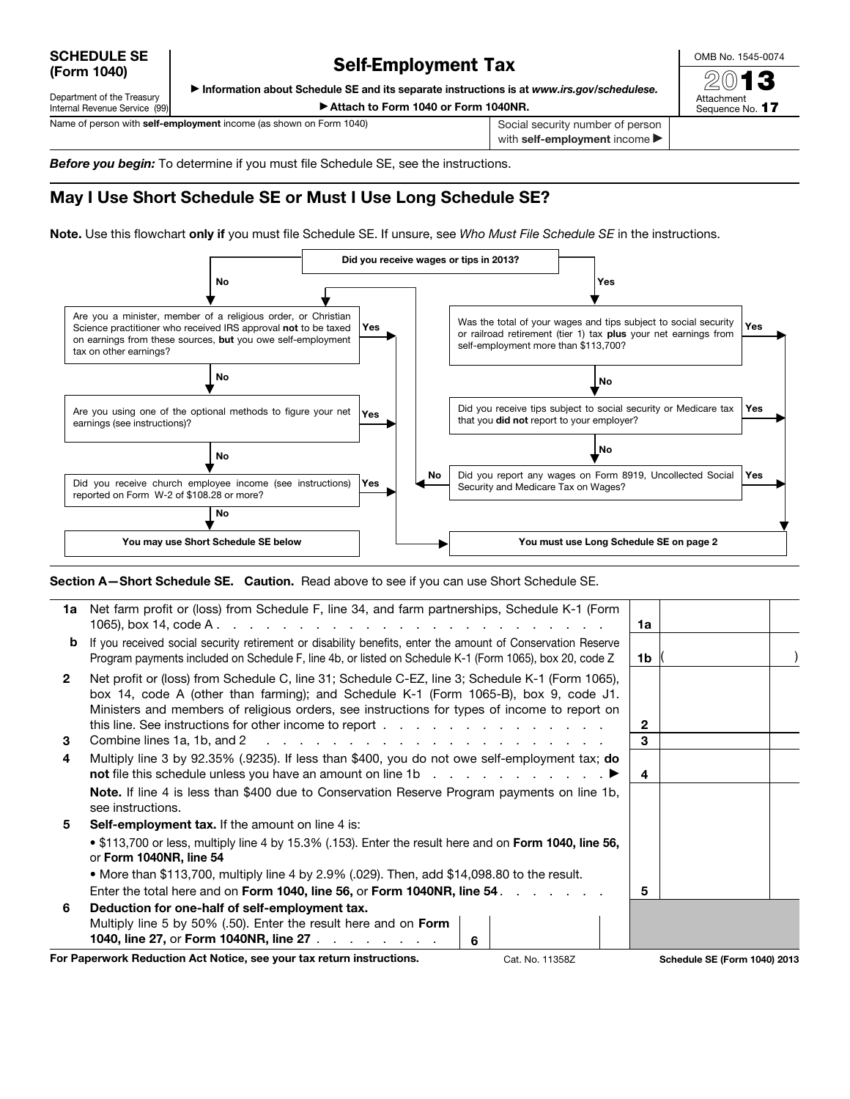SCHEDULE SE (Form 1040)

## Self-Employment Tax

OMB No. 1545-0074

 $20$ Attachment Sequence No. 17

▶ Information about Schedule SE and its separate instructions is at *www.irs.gov/schedulese.*

Department of the Treasury Internal Revenue Service (99)

▶ Attach to Form 1040 or Form 1040NR.

Name of person with self-employment income (as shown on Form 1040) Social security number of person with self-employment income

*Before you begin:* To determine if you must file Schedule SE, see the instructions.

## May I Use Short Schedule SE or Must I Use Long Schedule SE?

Note. Use this flowchart only if you must file Schedule SE. If unsure, see *Who Must File Schedule SE* in the instructions.



Section A-Short Schedule SE. Caution. Read above to see if you can use Short Schedule SE.

|              | 1a Net farm profit or (loss) from Schedule F, line 34, and farm partnerships, Schedule K-1 (Form                                                                                                                                                                                        | 1a           |                                     |  |
|--------------|-----------------------------------------------------------------------------------------------------------------------------------------------------------------------------------------------------------------------------------------------------------------------------------------|--------------|-------------------------------------|--|
| b            | If you received social security retirement or disability benefits, enter the amount of Conservation Reserve<br>Program payments included on Schedule F, line 4b, or listed on Schedule K-1 (Form 1065), box 20, code Z                                                                  | 1b.          |                                     |  |
| $\mathbf{2}$ | Net profit or (loss) from Schedule C, line 31; Schedule C-EZ, line 3; Schedule K-1 (Form 1065),<br>box 14, code A (other than farming); and Schedule K-1 (Form 1065-B), box 9, code J1.<br>Ministers and members of religious orders, see instructions for types of income to report on | $\mathbf{2}$ |                                     |  |
| 3            |                                                                                                                                                                                                                                                                                         | 3            |                                     |  |
| 4            | Multiply line 3 by 92.35% (.9235). If less than \$400, you do not owe self-employment tax; do<br><b>not</b> file this schedule unless you have an amount on line 1b $\ldots$ $\ldots$ $\ldots$ $\ldots$                                                                                 | 4            |                                     |  |
|              | <b>Note.</b> If line 4 is less than \$400 due to Conservation Reserve Program payments on line 1b,<br>see instructions.                                                                                                                                                                 |              |                                     |  |
| 5            | <b>Self-employment tax.</b> If the amount on line 4 is:                                                                                                                                                                                                                                 |              |                                     |  |
|              | • \$113,700 or less, multiply line 4 by 15.3% (.153). Enter the result here and on Form 1040, line 56,<br>or Form 1040NR, line 54                                                                                                                                                       |              |                                     |  |
|              | • More than \$113,700, multiply line 4 by 2.9% (.029). Then, add \$14,098.80 to the result.                                                                                                                                                                                             |              |                                     |  |
|              | Enter the total here and on Form 1040, line 56, or Form 1040NR, line 54.                                                                                                                                                                                                                | 5            |                                     |  |
| 6            | Deduction for one-half of self-employment tax.                                                                                                                                                                                                                                          |              |                                     |  |
|              | Multiply line 5 by 50% (.50). Enter the result here and on Form<br>1040, line 27, or Form 1040NR, line 27<br>6                                                                                                                                                                          |              |                                     |  |
|              | For Paperwork Reduction Act Notice, see your tax return instructions.<br>Cat. No. 11358Z                                                                                                                                                                                                |              | <b>Schedule SE (Form 1040) 2013</b> |  |